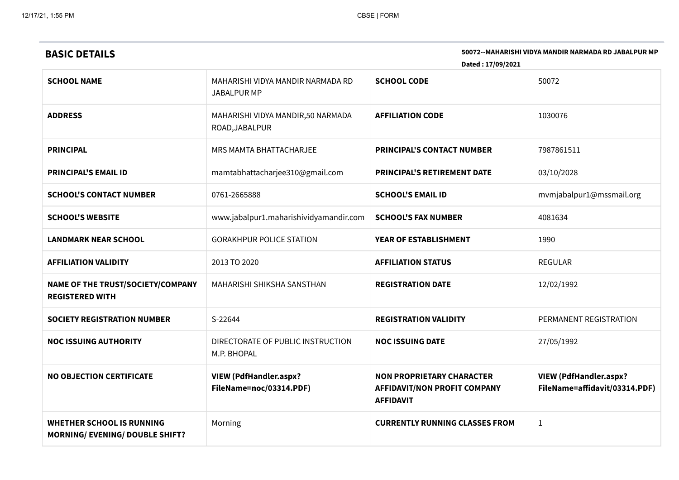| <b>BASIC DETAILS</b>                                                       | 50072--MAHARISHI VIDYA MANDIR NARMADA RD JABALPUR MP<br>Dated: 17/09/2021 |                                                                                             |                                                                |  |
|----------------------------------------------------------------------------|---------------------------------------------------------------------------|---------------------------------------------------------------------------------------------|----------------------------------------------------------------|--|
| <b>SCHOOL NAME</b>                                                         | MAHARISHI VIDYA MANDIR NARMADA RD<br><b>JABALPUR MP</b>                   | <b>SCHOOL CODE</b>                                                                          | 50072                                                          |  |
| <b>ADDRESS</b>                                                             | MAHARISHI VIDYA MANDIR,50 NARMADA<br>ROAD, JABALPUR                       | <b>AFFILIATION CODE</b>                                                                     | 1030076                                                        |  |
| <b>PRINCIPAL</b>                                                           | MRS MAMTA BHATTACHARJEE                                                   | <b>PRINCIPAL'S CONTACT NUMBER</b>                                                           | 7987861511                                                     |  |
| <b>PRINCIPAL'S EMAIL ID</b>                                                | mamtabhattacharjee310@gmail.com                                           | <b>PRINCIPAL'S RETIREMENT DATE</b>                                                          | 03/10/2028                                                     |  |
| <b>SCHOOL'S CONTACT NUMBER</b>                                             | 0761-2665888                                                              | <b>SCHOOL'S EMAIL ID</b>                                                                    | mvmjabalpur1@mssmail.org                                       |  |
| <b>SCHOOL'S WEBSITE</b>                                                    | www.jabalpur1.maharishividyamandir.com                                    | <b>SCHOOL'S FAX NUMBER</b>                                                                  | 4081634                                                        |  |
| <b>LANDMARK NEAR SCHOOL</b>                                                | <b>GORAKHPUR POLICE STATION</b>                                           | YEAR OF ESTABLISHMENT                                                                       | 1990                                                           |  |
| <b>AFFILIATION VALIDITY</b>                                                | 2013 TO 2020                                                              | <b>AFFILIATION STATUS</b>                                                                   | <b>REGULAR</b>                                                 |  |
| NAME OF THE TRUST/SOCIETY/COMPANY<br><b>REGISTERED WITH</b>                | MAHARISHI SHIKSHA SANSTHAN                                                | <b>REGISTRATION DATE</b>                                                                    | 12/02/1992                                                     |  |
| <b>SOCIETY REGISTRATION NUMBER</b>                                         | S-22644                                                                   | <b>REGISTRATION VALIDITY</b>                                                                | PERMANENT REGISTRATION                                         |  |
| <b>NOC ISSUING AUTHORITY</b>                                               | DIRECTORATE OF PUBLIC INSTRUCTION<br>M.P. BHOPAL                          | <b>NOC ISSUING DATE</b>                                                                     | 27/05/1992                                                     |  |
| <b>NO OBJECTION CERTIFICATE</b>                                            | <b>VIEW (PdfHandler.aspx?</b><br>FileName=noc/03314.PDF)                  | <b>NON PROPRIETARY CHARACTER</b><br><b>AFFIDAVIT/NON PROFIT COMPANY</b><br><b>AFFIDAVIT</b> | <b>VIEW (PdfHandler.aspx?</b><br>FileName=affidavit/03314.PDF) |  |
| <b>WHETHER SCHOOL IS RUNNING</b><br><b>MORNING/ EVENING/ DOUBLE SHIFT?</b> | Morning                                                                   | <b>CURRENTLY RUNNING CLASSES FROM</b>                                                       | $1\,$                                                          |  |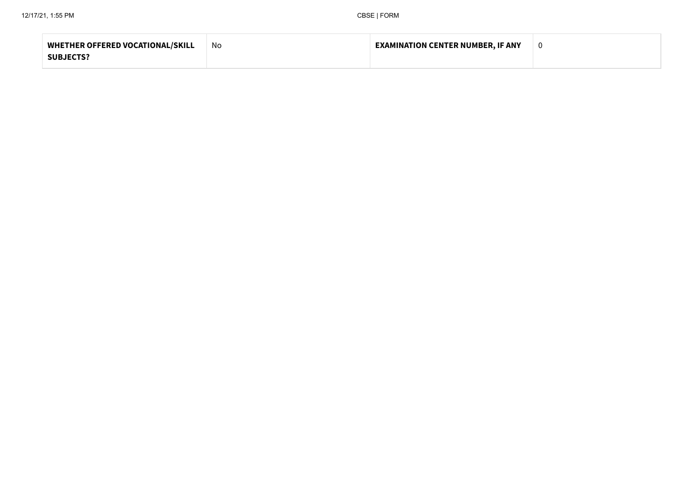| <b>WHETHER OFFERED VOCATIONAL/SKILL</b> | .No | <b>EXAMINATION CENTER NUMBER, IF ANY</b> |  |
|-----------------------------------------|-----|------------------------------------------|--|
| <b>SUBJECTS?</b>                        |     |                                          |  |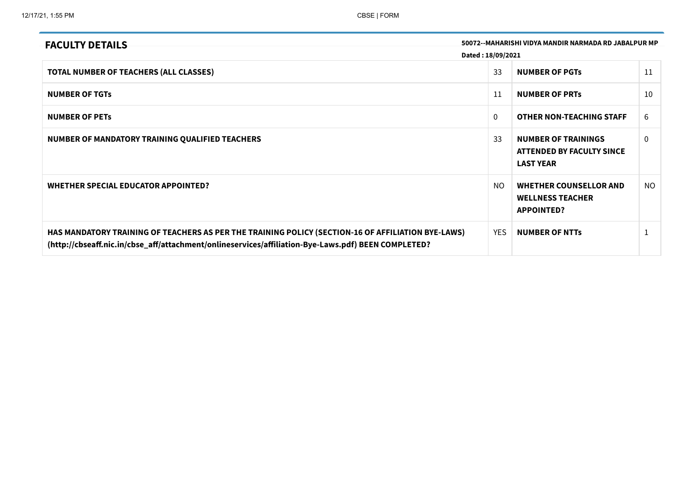| <b>FACULTY DETAILS</b>                                                                                                                                                                                    |                   | 50072--MAHARISHI VIDYA MANDIR NARMADA RD JABALPUR MP                               |          |
|-----------------------------------------------------------------------------------------------------------------------------------------------------------------------------------------------------------|-------------------|------------------------------------------------------------------------------------|----------|
|                                                                                                                                                                                                           | Dated: 18/09/2021 |                                                                                    |          |
| <b>TOTAL NUMBER OF TEACHERS (ALL CLASSES)</b>                                                                                                                                                             | 33                | <b>NUMBER OF PGTS</b>                                                              | 11       |
| <b>NUMBER OF TGTS</b>                                                                                                                                                                                     | 11                | <b>NUMBER OF PRTS</b>                                                              | 10       |
| <b>NUMBER OF PETS</b>                                                                                                                                                                                     | $\Omega$          | <b>OTHER NON-TEACHING STAFF</b>                                                    | 6        |
| NUMBER OF MANDATORY TRAINING QUALIFIED TEACHERS                                                                                                                                                           | 33                | <b>NUMBER OF TRAININGS</b><br><b>ATTENDED BY FACULTY SINCE</b><br><b>LAST YEAR</b> | $\Omega$ |
| WHETHER SPECIAL EDUCATOR APPOINTED?                                                                                                                                                                       | NO.               | <b>WHETHER COUNSELLOR AND</b><br><b>WELLNESS TEACHER</b><br><b>APPOINTED?</b>      | NO       |
| HAS MANDATORY TRAINING OF TEACHERS AS PER THE TRAINING POLICY (SECTION-16 OF AFFILIATION BYE-LAWS)<br>(http://cbseaff.nic.in/cbse_aff/attachment/onlineservices/affiliation-Bye-Laws.pdf) BEEN COMPLETED? | <b>YES</b>        | <b>NUMBER OF NTTS</b>                                                              |          |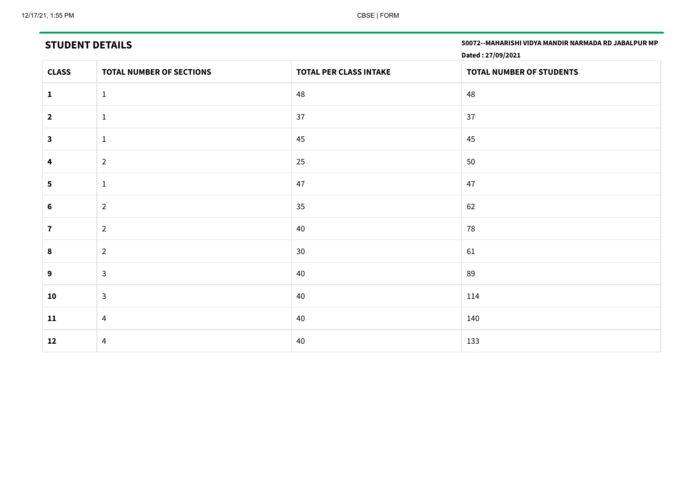|                | 50072 -- MAHARISHI VIDYA MANDIR NARMADA RD JABALPUR MP<br><b>STUDENT DETAILS</b><br>Dated: 27/09/2021 |                               |                          |  |  |
|----------------|-------------------------------------------------------------------------------------------------------|-------------------------------|--------------------------|--|--|
| <b>CLASS</b>   | <b>TOTAL NUMBER OF SECTIONS</b>                                                                       | <b>TOTAL PER CLASS INTAKE</b> | TOTAL NUMBER OF STUDENTS |  |  |
| $\mathbf{1}$   | $\mathbf{1}$                                                                                          | 48                            | 48                       |  |  |
| $\overline{2}$ | $\mathbf{1}$                                                                                          | 37                            | 37                       |  |  |
| $\mathbf{3}$   | $\mathbf{1}$                                                                                          | 45                            | 45                       |  |  |
| 4              | $\overline{2}$                                                                                        | 25                            | 50                       |  |  |
| $5\phantom{1}$ | $\mathbf{1}$                                                                                          | 47                            | 47                       |  |  |
| 6              | $\overline{2}$                                                                                        | 35                            | 62                       |  |  |
| $\mathbf{7}$   | $\overline{2}$                                                                                        | 40                            | 78                       |  |  |
| 8              | $\overline{2}$                                                                                        | 30                            | 61                       |  |  |
| 9              | $\mathbf{3}$                                                                                          | 40                            | 89                       |  |  |
| 10             | $\mathbf{3}$                                                                                          | 40                            | 114                      |  |  |
| 11             | $\overline{4}$                                                                                        | 40                            | 140                      |  |  |
| 12             | $\overline{4}$                                                                                        | 40                            | 133                      |  |  |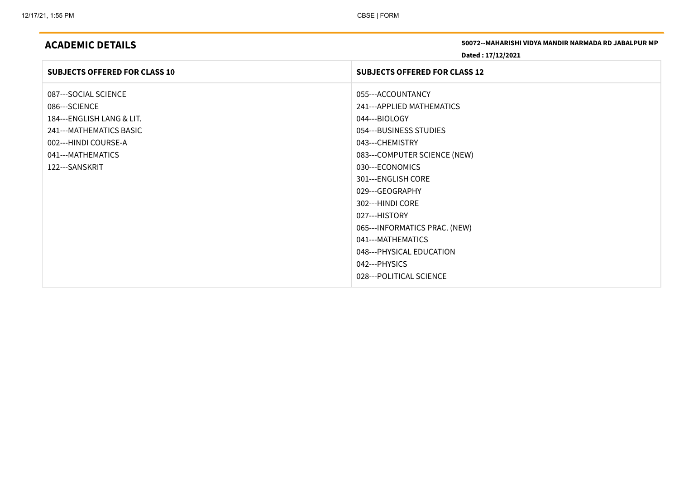|  |  | <b>ACADEMIC DETAILS</b> |
|--|--|-------------------------|
|  |  |                         |

50072--MAHARISHI VIDYA MANDIR NARMADA RD JABALPUR MP

Dated : 17/12/2021

| 055---ACCOUNTANCY<br>087---SOCIAL SCIENCE<br>086---SCIENCE<br>241---APPLIED MATHEMATICS<br>044---BIOLOGY<br>184---ENGLISH LANG & LIT.<br>241--- MATHEMATICS BASIC<br>054---BUSINESS STUDIES                                                                                                                                                       | <b>SUBJECTS OFFERED FOR CLASS 10</b> | <b>SUBJECTS OFFERED FOR CLASS 12</b> |
|---------------------------------------------------------------------------------------------------------------------------------------------------------------------------------------------------------------------------------------------------------------------------------------------------------------------------------------------------|--------------------------------------|--------------------------------------|
| 002---HINDI COURSE-A<br>043---CHEMISTRY<br>041---MATHEMATICS<br>083---COMPUTER SCIENCE (NEW)<br>122---SANSKRIT<br>030---ECONOMICS<br>301---ENGLISH CORE<br>029---GEOGRAPHY<br>302---HINDI CORE<br>027---HISTORY<br>065--- INFORMATICS PRAC. (NEW)<br>041---MATHEMATICS<br>048--- PHYSICAL EDUCATION<br>042--- PHYSICS<br>028--- POLITICAL SCIENCE |                                      |                                      |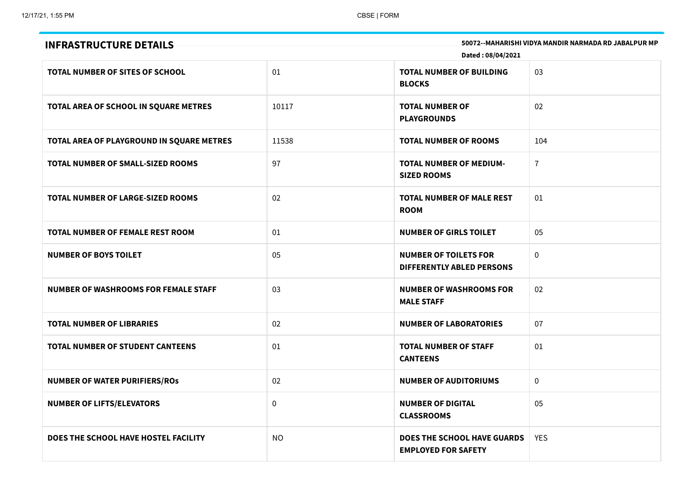| <b>INFRASTRUCTURE DETAILS</b>               | Dated: 08/04/2021 | 50072 -- MAHARISHI VIDYA MANDIR NARMADA RD JABALPUR MP           |                |
|---------------------------------------------|-------------------|------------------------------------------------------------------|----------------|
| TOTAL NUMBER OF SITES OF SCHOOL             | 01                | <b>TOTAL NUMBER OF BUILDING</b><br><b>BLOCKS</b>                 | 03             |
| TOTAL AREA OF SCHOOL IN SQUARE METRES       | 10117             | <b>TOTAL NUMBER OF</b><br><b>PLAYGROUNDS</b>                     | 02             |
| TOTAL AREA OF PLAYGROUND IN SQUARE METRES   | 11538             | <b>TOTAL NUMBER OF ROOMS</b>                                     | 104            |
| <b>TOTAL NUMBER OF SMALL-SIZED ROOMS</b>    | 97                | <b>TOTAL NUMBER OF MEDIUM-</b><br><b>SIZED ROOMS</b>             | $\overline{7}$ |
| <b>TOTAL NUMBER OF LARGE-SIZED ROOMS</b>    | 02                | <b>TOTAL NUMBER OF MALE REST</b><br><b>ROOM</b>                  | 01             |
| <b>TOTAL NUMBER OF FEMALE REST ROOM</b>     | 01                | <b>NUMBER OF GIRLS TOILET</b>                                    | 05             |
| <b>NUMBER OF BOYS TOILET</b>                | 05                | <b>NUMBER OF TOILETS FOR</b><br><b>DIFFERENTLY ABLED PERSONS</b> | $\mathbf{0}$   |
| <b>NUMBER OF WASHROOMS FOR FEMALE STAFF</b> | 03                | <b>NUMBER OF WASHROOMS FOR</b><br><b>MALE STAFF</b>              | 02             |
| <b>TOTAL NUMBER OF LIBRARIES</b>            | 02                | <b>NUMBER OF LABORATORIES</b>                                    | 07             |
| <b>TOTAL NUMBER OF STUDENT CANTEENS</b>     | 01                | <b>TOTAL NUMBER OF STAFF</b><br><b>CANTEENS</b>                  | 01             |
| <b>NUMBER OF WATER PURIFIERS/ROS</b>        | 02                | <b>NUMBER OF AUDITORIUMS</b>                                     | $\mathbf 0$    |
| <b>NUMBER OF LIFTS/ELEVATORS</b>            | 0                 | <b>NUMBER OF DIGITAL</b><br><b>CLASSROOMS</b>                    | 05             |
| DOES THE SCHOOL HAVE HOSTEL FACILITY        | <b>NO</b>         | <b>DOES THE SCHOOL HAVE GUARDS</b><br><b>EMPLOYED FOR SAFETY</b> | <b>YES</b>     |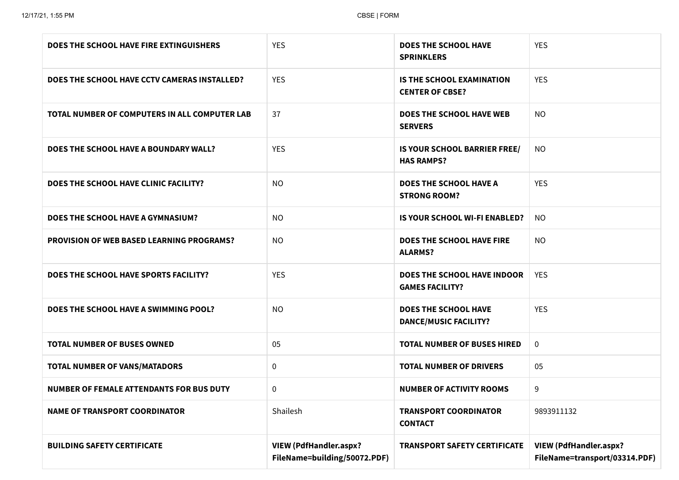| DOES THE SCHOOL HAVE FIRE EXTINGUISHERS          | <b>YES</b>                                                    | <b>DOES THE SCHOOL HAVE</b><br><b>SPRINKLERS</b>             | <b>YES</b>                                                     |
|--------------------------------------------------|---------------------------------------------------------------|--------------------------------------------------------------|----------------------------------------------------------------|
| DOES THE SCHOOL HAVE CCTV CAMERAS INSTALLED?     | <b>YES</b>                                                    | <b>IS THE SCHOOL EXAMINATION</b><br><b>CENTER OF CBSE?</b>   | <b>YES</b>                                                     |
| TOTAL NUMBER OF COMPUTERS IN ALL COMPUTER LAB    | 37                                                            | <b>DOES THE SCHOOL HAVE WEB</b><br><b>SERVERS</b>            | <b>NO</b>                                                      |
| DOES THE SCHOOL HAVE A BOUNDARY WALL?            | <b>YES</b>                                                    | IS YOUR SCHOOL BARRIER FREE/<br><b>HAS RAMPS?</b>            | <b>NO</b>                                                      |
| DOES THE SCHOOL HAVE CLINIC FACILITY?            | <b>NO</b>                                                     | <b>DOES THE SCHOOL HAVE A</b><br><b>STRONG ROOM?</b>         | <b>YES</b>                                                     |
| DOES THE SCHOOL HAVE A GYMNASIUM?                | <b>NO</b>                                                     | <b>IS YOUR SCHOOL WI-FI ENABLED?</b>                         | <b>NO</b>                                                      |
| <b>PROVISION OF WEB BASED LEARNING PROGRAMS?</b> | <b>NO</b>                                                     | <b>DOES THE SCHOOL HAVE FIRE</b><br><b>ALARMS?</b>           | NO.                                                            |
| DOES THE SCHOOL HAVE SPORTS FACILITY?            | <b>YES</b>                                                    | <b>DOES THE SCHOOL HAVE INDOOR</b><br><b>GAMES FACILITY?</b> | <b>YES</b>                                                     |
| DOES THE SCHOOL HAVE A SWIMMING POOL?            | <b>NO</b>                                                     | <b>DOES THE SCHOOL HAVE</b><br><b>DANCE/MUSIC FACILITY?</b>  | <b>YES</b>                                                     |
| <b>TOTAL NUMBER OF BUSES OWNED</b>               | 05                                                            | <b>TOTAL NUMBER OF BUSES HIRED</b>                           | $\mathbf 0$                                                    |
| <b>TOTAL NUMBER OF VANS/MATADORS</b>             | 0                                                             | <b>TOTAL NUMBER OF DRIVERS</b>                               | 05                                                             |
| <b>NUMBER OF FEMALE ATTENDANTS FOR BUS DUTY</b>  | 0                                                             | <b>NUMBER OF ACTIVITY ROOMS</b>                              | 9                                                              |
| <b>NAME OF TRANSPORT COORDINATOR</b>             | Shailesh                                                      | <b>TRANSPORT COORDINATOR</b><br><b>CONTACT</b>               | 9893911132                                                     |
| <b>BUILDING SAFETY CERTIFICATE</b>               | <b>VIEW (PdfHandler.aspx?</b><br>FileName=building/50072.PDF) | <b>TRANSPORT SAFETY CERTIFICATE</b>                          | <b>VIEW (PdfHandler.aspx?</b><br>FileName=transport/03314.PDF) |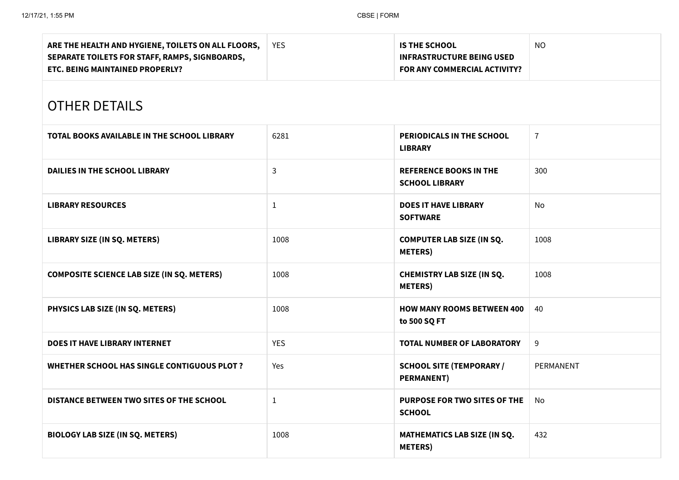| ARE THE HEALTH AND HYGIENE, TOILETS ON ALL FLOORS,<br>SEPARATE TOILETS FOR STAFF, RAMPS, SIGNBOARDS,<br>ETC. BEING MAINTAINED PROPERLY? | <b>YES</b>   | <b>IS THE SCHOOL</b><br><b>INFRASTRUCTURE BEING USED</b><br>FOR ANY COMMERCIAL ACTIVITY? | <b>NO</b>      |  |  |  |
|-----------------------------------------------------------------------------------------------------------------------------------------|--------------|------------------------------------------------------------------------------------------|----------------|--|--|--|
| <b>OTHER DETAILS</b>                                                                                                                    |              |                                                                                          |                |  |  |  |
| <b>TOTAL BOOKS AVAILABLE IN THE SCHOOL LIBRARY</b>                                                                                      | 6281         | PERIODICALS IN THE SCHOOL<br><b>LIBRARY</b>                                              | $\overline{7}$ |  |  |  |
| <b>DAILIES IN THE SCHOOL LIBRARY</b>                                                                                                    | 3            | <b>REFERENCE BOOKS IN THE</b><br><b>SCHOOL LIBRARY</b>                                   | 300            |  |  |  |
| <b>LIBRARY RESOURCES</b>                                                                                                                | 1            | <b>DOES IT HAVE LIBRARY</b><br><b>SOFTWARE</b>                                           | No             |  |  |  |
| LIBRARY SIZE (IN SQ. METERS)                                                                                                            | 1008         | <b>COMPUTER LAB SIZE (IN SQ.</b><br><b>METERS</b> )                                      | 1008           |  |  |  |
| <b>COMPOSITE SCIENCE LAB SIZE (IN SQ. METERS)</b>                                                                                       | 1008         | <b>CHEMISTRY LAB SIZE (IN SQ.</b><br><b>METERS</b> )                                     | 1008           |  |  |  |
| PHYSICS LAB SIZE (IN SQ. METERS)                                                                                                        | 1008         | <b>HOW MANY ROOMS BETWEEN 400</b><br>to 500 SQ FT                                        | 40             |  |  |  |
| <b>DOES IT HAVE LIBRARY INTERNET</b>                                                                                                    | <b>YES</b>   | <b>TOTAL NUMBER OF LABORATORY</b>                                                        | 9              |  |  |  |
| <b>WHETHER SCHOOL HAS SINGLE CONTIGUOUS PLOT ?</b>                                                                                      | Yes          | <b>SCHOOL SITE (TEMPORARY /</b><br><b>PERMANENT)</b>                                     | PERMANENT      |  |  |  |
| DISTANCE BETWEEN TWO SITES OF THE SCHOOL                                                                                                | $\mathbf{1}$ | PURPOSE FOR TWO SITES OF THE<br><b>SCHOOL</b>                                            | No             |  |  |  |
| <b>BIOLOGY LAB SIZE (IN SQ. METERS)</b>                                                                                                 | 1008         | MATHEMATICS LAB SIZE (IN SQ.<br><b>METERS</b> )                                          | 432            |  |  |  |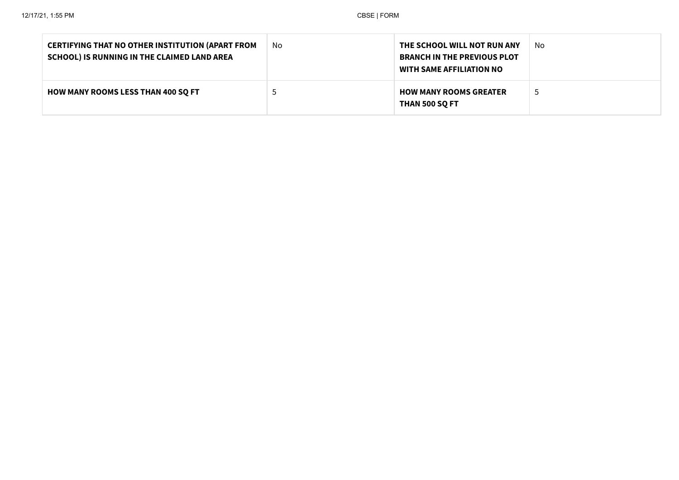| <b>CERTIFYING THAT NO OTHER INSTITUTION (APART FROM</b><br>SCHOOL) IS RUNNING IN THE CLAIMED LAND AREA | No | THE SCHOOL WILL NOT RUN ANY<br><b>BRANCH IN THE PREVIOUS PLOT</b><br><b>WITH SAME AFFILIATION NO</b> | No |
|--------------------------------------------------------------------------------------------------------|----|------------------------------------------------------------------------------------------------------|----|
| <b>HOW MANY ROOMS LESS THAN 400 SQ FT</b>                                                              |    | <b>HOW MANY ROOMS GREATER</b><br><b>THAN 500 SQ FT</b>                                               | -3 |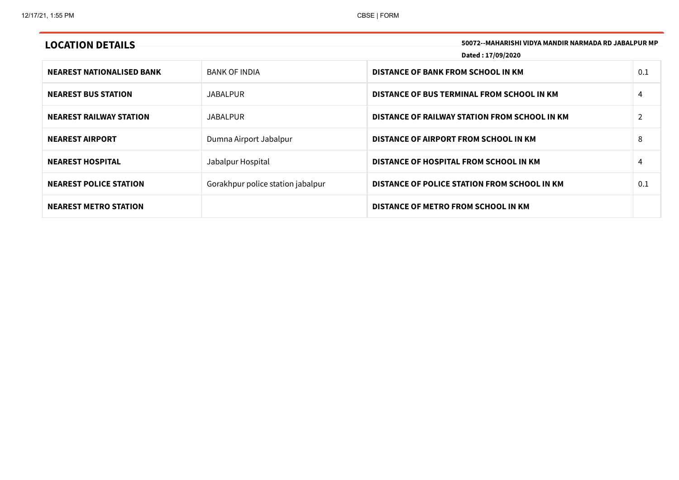| 50072--MAHARISHI VIDYA MANDIR NARMADA RD JABALPUR MP<br><b>LOCATION DETAILS</b><br>Dated: 17/09/2020 |                                   |                                               |                |
|------------------------------------------------------------------------------------------------------|-----------------------------------|-----------------------------------------------|----------------|
| <b>NEAREST NATIONALISED BANK</b>                                                                     | <b>BANK OF INDIA</b>              | <b>DISTANCE OF BANK FROM SCHOOL IN KM</b>     | 0.1            |
| <b>NEAREST BUS STATION</b>                                                                           | <b>JABALPUR</b>                   | DISTANCE OF BUS TERMINAL FROM SCHOOL IN KM    | 4              |
| <b>NEAREST RAILWAY STATION</b>                                                                       | <b>JABALPUR</b>                   | DISTANCE OF RAILWAY STATION FROM SCHOOL IN KM | $\overline{2}$ |
| <b>NEAREST AIRPORT</b>                                                                               | Dumna Airport Jabalpur            | DISTANCE OF AIRPORT FROM SCHOOL IN KM         | 8              |
| <b>NEAREST HOSPITAL</b>                                                                              | Jabalpur Hospital                 | DISTANCE OF HOSPITAL FROM SCHOOL IN KM        | 4              |
| <b>NEAREST POLICE STATION</b>                                                                        | Gorakhpur police station jabalpur | DISTANCE OF POLICE STATION FROM SCHOOL IN KM  | 0.1            |
| <b>NEAREST METRO STATION</b>                                                                         |                                   | DISTANCE OF METRO FROM SCHOOL IN KM           |                |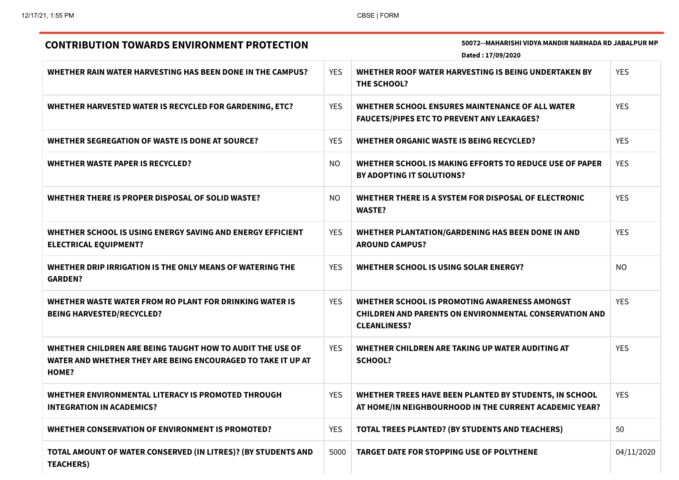| 50072--MAHARISHI VIDYA MANDIR NARMADA RD JABALPUR MP<br><b>CONTRIBUTION TOWARDS ENVIRONMENT PROTECTION</b><br>Dated: 17/09/2020    |            |                                                                                                                                       |            |
|------------------------------------------------------------------------------------------------------------------------------------|------------|---------------------------------------------------------------------------------------------------------------------------------------|------------|
| WHETHER RAIN WATER HARVESTING HAS BEEN DONE IN THE CAMPUS?                                                                         | <b>YES</b> | WHETHER ROOF WATER HARVESTING IS BEING UNDERTAKEN BY<br>THE SCHOOL?                                                                   | <b>YES</b> |
| WHETHER HARVESTED WATER IS RECYCLED FOR GARDENING, ETC?                                                                            | <b>YES</b> | WHETHER SCHOOL ENSURES MAINTENANCE OF ALL WATER<br><b>FAUCETS/PIPES ETC TO PREVENT ANY LEAKAGES?</b>                                  | <b>YES</b> |
| WHETHER SEGREGATION OF WASTE IS DONE AT SOURCE?                                                                                    | <b>YES</b> | WHETHER ORGANIC WASTE IS BEING RECYCLED?                                                                                              | <b>YES</b> |
| <b>WHETHER WASTE PAPER IS RECYCLED?</b>                                                                                            | <b>NO</b>  | WHETHER SCHOOL IS MAKING EFFORTS TO REDUCE USE OF PAPER<br>BY ADOPTING IT SOLUTIONS?                                                  | <b>YES</b> |
| WHETHER THERE IS PROPER DISPOSAL OF SOLID WASTE?                                                                                   | <b>NO</b>  | WHETHER THERE IS A SYSTEM FOR DISPOSAL OF ELECTRONIC<br><b>WASTE?</b>                                                                 | <b>YES</b> |
| WHETHER SCHOOL IS USING ENERGY SAVING AND ENERGY EFFICIENT<br><b>ELECTRICAL EQUIPMENT?</b>                                         | <b>YES</b> | WHETHER PLANTATION/GARDENING HAS BEEN DONE IN AND<br><b>AROUND CAMPUS?</b>                                                            | <b>YES</b> |
| WHETHER DRIP IRRIGATION IS THE ONLY MEANS OF WATERING THE<br><b>GARDEN?</b>                                                        | <b>YES</b> | WHETHER SCHOOL IS USING SOLAR ENERGY?                                                                                                 | <b>NO</b>  |
| WHETHER WASTE WATER FROM RO PLANT FOR DRINKING WATER IS<br><b>BEING HARVESTED/RECYCLED?</b>                                        | <b>YES</b> | WHETHER SCHOOL IS PROMOTING AWARENESS AMONGST<br><b>CHILDREN AND PARENTS ON ENVIRONMENTAL CONSERVATION AND</b><br><b>CLEANLINESS?</b> | <b>YES</b> |
| WHETHER CHILDREN ARE BEING TAUGHT HOW TO AUDIT THE USE OF<br>WATER AND WHETHER THEY ARE BEING ENCOURAGED TO TAKE IT UP AT<br>HOME? | <b>YES</b> | WHETHER CHILDREN ARE TAKING UP WATER AUDITING AT<br><b>SCHOOL?</b>                                                                    | <b>YES</b> |
| WHETHER ENVIRONMENTAL LITERACY IS PROMOTED THROUGH<br><b>INTEGRATION IN ACADEMICS?</b>                                             | <b>YES</b> | WHETHER TREES HAVE BEEN PLANTED BY STUDENTS, IN SCHOOL<br>AT HOME/IN NEIGHBOURHOOD IN THE CURRENT ACADEMIC YEAR?                      | <b>YES</b> |
| WHETHER CONSERVATION OF ENVIRONMENT IS PROMOTED?                                                                                   | <b>YES</b> | <b>TOTAL TREES PLANTED? (BY STUDENTS AND TEACHERS)</b>                                                                                | 50         |
| TOTAL AMOUNT OF WATER CONSERVED (IN LITRES)? (BY STUDENTS AND<br><b>TEACHERS)</b>                                                  | 5000       | <b>TARGET DATE FOR STOPPING USE OF POLYTHENE</b>                                                                                      | 04/11/2020 |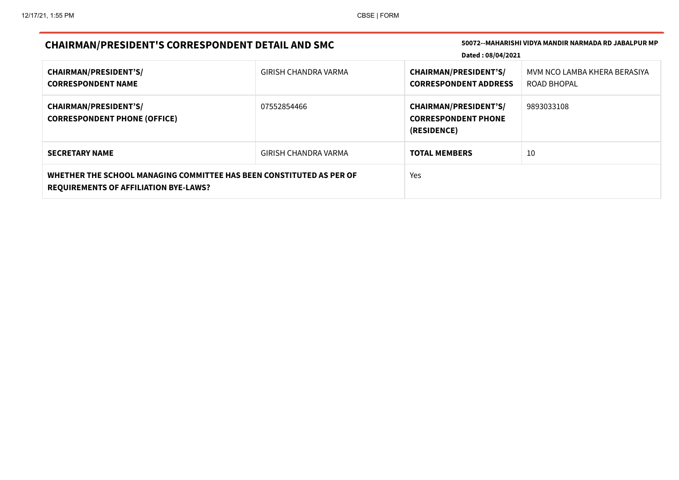| <b>CHAIRMAN/PRESIDENT'S CORRESPONDENT DETAIL AND SMC</b>                                                             |                      | 50072--MAHARISHI VIDYA MANDIR NARMADA RD JABALPUR MP<br>Dated: 08/04/2021 |                                             |
|----------------------------------------------------------------------------------------------------------------------|----------------------|---------------------------------------------------------------------------|---------------------------------------------|
| <b>CHAIRMAN/PRESIDENT'S/</b><br><b>CORRESPONDENT NAME</b>                                                            | GIRISH CHANDRA VARMA | <b>CHAIRMAN/PRESIDENT'S/</b><br><b>CORRESPONDENT ADDRESS</b>              | MVM NCO LAMBA KHERA BERASIYA<br>ROAD BHOPAL |
| <b>CHAIRMAN/PRESIDENT'S/</b><br><b>CORRESPONDENT PHONE (OFFICE)</b>                                                  | 07552854466          | <b>CHAIRMAN/PRESIDENT'S/</b><br><b>CORRESPONDENT PHONE</b><br>(RESIDENCE) | 9893033108                                  |
| <b>SECRETARY NAME</b>                                                                                                | GIRISH CHANDRA VARMA | <b>TOTAL MEMBERS</b>                                                      | 10                                          |
| WHETHER THE SCHOOL MANAGING COMMITTEE HAS BEEN CONSTITUTED AS PER OF<br><b>REQUIREMENTS OF AFFILIATION BYE-LAWS?</b> |                      | Yes                                                                       |                                             |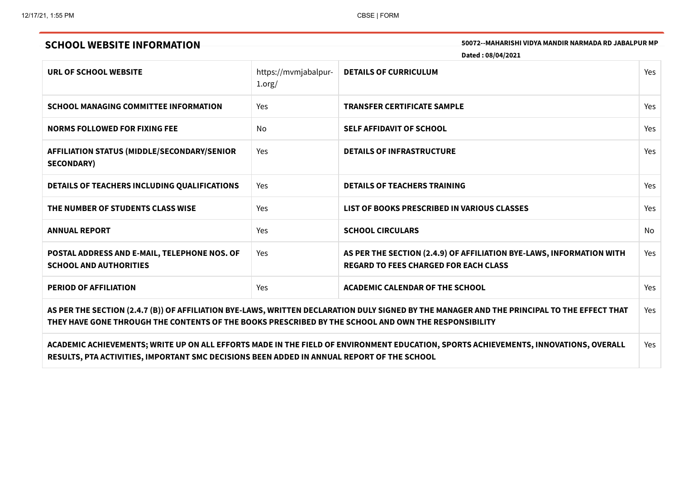SOOT2--MAHARISHI VIDYA MANDIR NARMADA RD JABALPUR MP

|                                                                                                                                                                                                                                                     |                                | Dated: 08/04/2021                                                                                                    |            |
|-----------------------------------------------------------------------------------------------------------------------------------------------------------------------------------------------------------------------------------------------------|--------------------------------|----------------------------------------------------------------------------------------------------------------------|------------|
| URL OF SCHOOL WEBSITE                                                                                                                                                                                                                               | https://mvmjabalpur-<br>1.org/ | <b>DETAILS OF CURRICULUM</b>                                                                                         | Yes        |
| <b>SCHOOL MANAGING COMMITTEE INFORMATION</b>                                                                                                                                                                                                        | Yes                            | <b>TRANSFER CERTIFICATE SAMPLE</b>                                                                                   | <b>Yes</b> |
| <b>NORMS FOLLOWED FOR FIXING FEE</b>                                                                                                                                                                                                                | No.                            | <b>SELF AFFIDAVIT OF SCHOOL</b>                                                                                      | <b>Yes</b> |
| <b>AFFILIATION STATUS (MIDDLE/SECONDARY/SENIOR</b><br><b>SECONDARY)</b>                                                                                                                                                                             | Yes                            | <b>DETAILS OF INFRASTRUCTURE</b>                                                                                     | Yes        |
| DETAILS OF TEACHERS INCLUDING QUALIFICATIONS                                                                                                                                                                                                        | Yes                            | <b>DETAILS OF TEACHERS TRAINING</b>                                                                                  | Yes        |
| THE NUMBER OF STUDENTS CLASS WISE                                                                                                                                                                                                                   | Yes                            | LIST OF BOOKS PRESCRIBED IN VARIOUS CLASSES                                                                          | <b>Yes</b> |
| <b>ANNUAL REPORT</b>                                                                                                                                                                                                                                | Yes                            | <b>SCHOOL CIRCULARS</b>                                                                                              | <b>No</b>  |
| POSTAL ADDRESS AND E-MAIL, TELEPHONE NOS. OF<br><b>SCHOOL AND AUTHORITIES</b>                                                                                                                                                                       | Yes                            | AS PER THE SECTION (2.4.9) OF AFFILIATION BYE-LAWS, INFORMATION WITH<br><b>REGARD TO FEES CHARGED FOR EACH CLASS</b> | Yes        |
| <b>PERIOD OF AFFILIATION</b>                                                                                                                                                                                                                        | Yes                            | <b>ACADEMIC CALENDAR OF THE SCHOOL</b>                                                                               | Yes        |
| AS PER THE SECTION (2.4.7 (B)) OF AFFILIATION BYE-LAWS, WRITTEN DECLARATION DULY SIGNED BY THE MANAGER AND THE PRINCIPAL TO THE EFFECT THAT<br>THEY HAVE GONE THROUGH THE CONTENTS OF THE BOOKS PRESCRIBED BY THE SCHOOL AND OWN THE RESPONSIBILITY |                                |                                                                                                                      | Yes.       |
| ACADEMIC ACHIEVEMENTS; WRITE UP ON ALL EFFORTS MADE IN THE FIELD OF ENVIRONMENT EDUCATION, SPORTS ACHIEVEMENTS, INNOVATIONS, OVERALL<br>RESULTS, PTA ACTIVITIES, IMPORTANT SMC DECISIONS BEEN ADDED IN ANNUAL REPORT OF THE SCHOOL                  |                                |                                                                                                                      | <b>Yes</b> |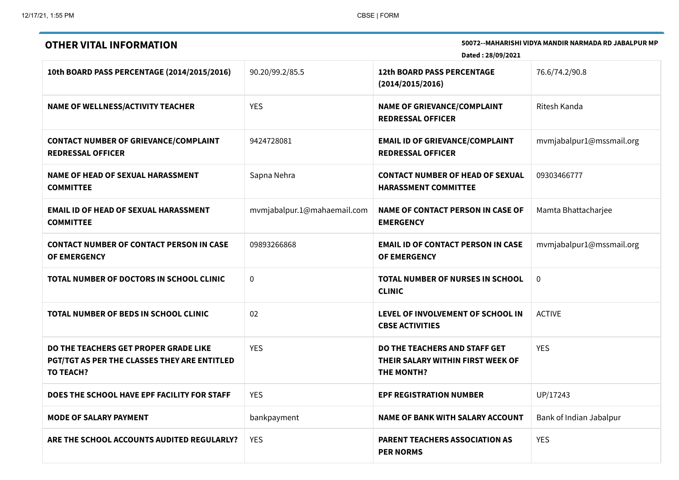| 50072--MAHARISHI VIDYA MANDIR NARMADA RD JABALPUR MP<br><b>OTHER VITAL INFORMATION</b><br>Dated: 28/09/2021      |                             |                                                                                         |                          |
|------------------------------------------------------------------------------------------------------------------|-----------------------------|-----------------------------------------------------------------------------------------|--------------------------|
| 10th BOARD PASS PERCENTAGE (2014/2015/2016)                                                                      | 90.20/99.2/85.5             | <b>12th BOARD PASS PERCENTAGE</b><br>(2014/2015/2016)                                   | 76.6/74.2/90.8           |
| <b>NAME OF WELLNESS/ACTIVITY TEACHER</b>                                                                         | <b>YES</b>                  | <b>NAME OF GRIEVANCE/COMPLAINT</b><br><b>REDRESSAL OFFICER</b>                          | Ritesh Kanda             |
| <b>CONTACT NUMBER OF GRIEVANCE/COMPLAINT</b><br><b>REDRESSAL OFFICER</b>                                         | 9424728081                  | <b>EMAIL ID OF GRIEVANCE/COMPLAINT</b><br><b>REDRESSAL OFFICER</b>                      | mvmjabalpur1@mssmail.org |
| <b>NAME OF HEAD OF SEXUAL HARASSMENT</b><br><b>COMMITTEE</b>                                                     | Sapna Nehra                 | <b>CONTACT NUMBER OF HEAD OF SEXUAL</b><br><b>HARASSMENT COMMITTEE</b>                  | 09303466777              |
| <b>EMAIL ID OF HEAD OF SEXUAL HARASSMENT</b><br><b>COMMITTEE</b>                                                 | mvmjabalpur.1@mahaemail.com | <b>NAME OF CONTACT PERSON IN CASE OF</b><br><b>EMERGENCY</b>                            | Mamta Bhattacharjee      |
| <b>CONTACT NUMBER OF CONTACT PERSON IN CASE</b><br>OF EMERGENCY                                                  | 09893266868                 | <b>EMAIL ID OF CONTACT PERSON IN CASE</b><br><b>OF EMERGENCY</b>                        | mvmjabalpur1@mssmail.org |
| TOTAL NUMBER OF DOCTORS IN SCHOOL CLINIC                                                                         | $\mathbf 0$                 | <b>TOTAL NUMBER OF NURSES IN SCHOOL</b><br><b>CLINIC</b>                                | $\mathbf 0$              |
| TOTAL NUMBER OF BEDS IN SCHOOL CLINIC                                                                            | 02                          | LEVEL OF INVOLVEMENT OF SCHOOL IN<br><b>CBSE ACTIVITIES</b>                             | <b>ACTIVE</b>            |
| DO THE TEACHERS GET PROPER GRADE LIKE<br><b>PGT/TGT AS PER THE CLASSES THEY ARE ENTITLED</b><br><b>TO TEACH?</b> | <b>YES</b>                  | DO THE TEACHERS AND STAFF GET<br>THEIR SALARY WITHIN FIRST WEEK OF<br><b>THE MONTH?</b> | <b>YES</b>               |
| DOES THE SCHOOL HAVE EPF FACILITY FOR STAFF                                                                      | <b>YES</b>                  | <b>EPF REGISTRATION NUMBER</b>                                                          | UP/17243                 |
| <b>MODE OF SALARY PAYMENT</b>                                                                                    | bankpayment                 | <b>NAME OF BANK WITH SALARY ACCOUNT</b>                                                 | Bank of Indian Jabalpur  |
| ARE THE SCHOOL ACCOUNTS AUDITED REGULARLY?                                                                       | <b>YES</b>                  | <b>PARENT TEACHERS ASSOCIATION AS</b><br><b>PER NORMS</b>                               | <b>YES</b>               |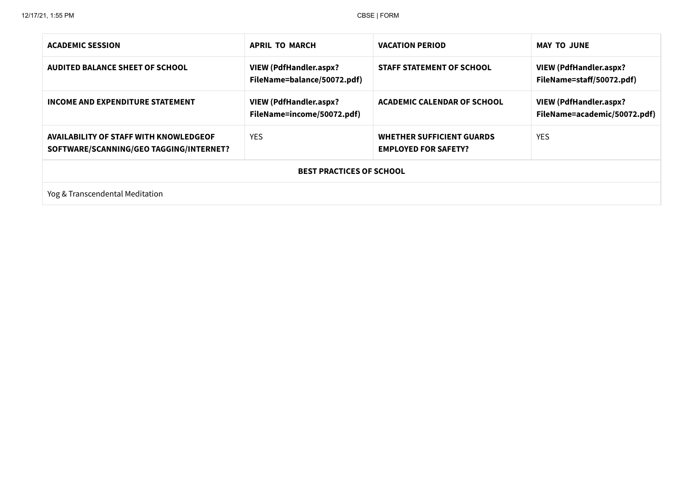| <b>ACADEMIC SESSION</b>                                                                  | <b>APRIL TO MARCH</b>                                        | <b>VACATION PERIOD</b>                                          | <b>MAY TO JUNE</b>                                            |  |
|------------------------------------------------------------------------------------------|--------------------------------------------------------------|-----------------------------------------------------------------|---------------------------------------------------------------|--|
| <b>AUDITED BALANCE SHEET OF SCHOOL</b>                                                   | <b>VIEW (PdfHandler.aspx?</b><br>FileName=balance/50072.pdf) | <b>STAFF STATEMENT OF SCHOOL</b>                                | <b>VIEW (PdfHandler.aspx?</b><br>FileName=staff/50072.pdf)    |  |
| INCOME AND EXPENDITURE STATEMENT                                                         | <b>VIEW (PdfHandler.aspx?</b><br>FileName=income/50072.pdf)  | <b>ACADEMIC CALENDAR OF SCHOOL</b>                              | <b>VIEW (PdfHandler.aspx?</b><br>FileName=academic/50072.pdf) |  |
| <b>AVAILABILITY OF STAFF WITH KNOWLEDGEOF</b><br>SOFTWARE/SCANNING/GEO TAGGING/INTERNET? | <b>YES</b>                                                   | <b>WHETHER SUFFICIENT GUARDS</b><br><b>EMPLOYED FOR SAFETY?</b> | <b>YES</b>                                                    |  |
| <b>BEST PRACTICES OF SCHOOL</b>                                                          |                                                              |                                                                 |                                                               |  |
| Yog & Transcendental Meditation                                                          |                                                              |                                                                 |                                                               |  |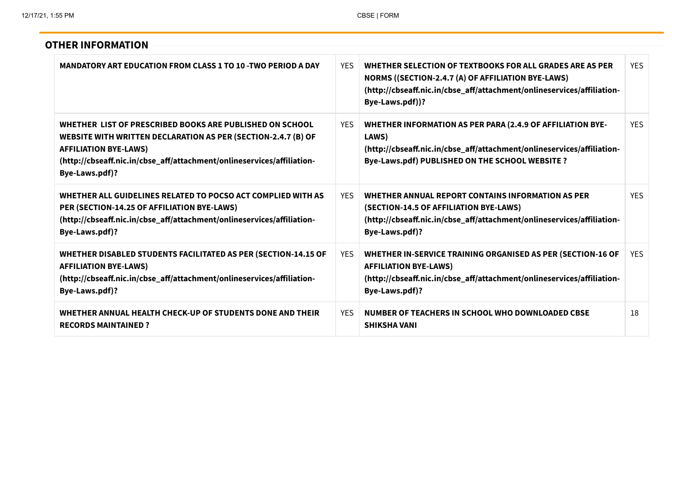| <b>OTHER INFORMATION</b>                                                                                                                                                                                                                              |            |                                                                                                                                                                                                             |            |
|-------------------------------------------------------------------------------------------------------------------------------------------------------------------------------------------------------------------------------------------------------|------------|-------------------------------------------------------------------------------------------------------------------------------------------------------------------------------------------------------------|------------|
| <b>MANDATORY ART EDUCATION FROM CLASS 1 TO 10 -TWO PERIOD A DAY</b>                                                                                                                                                                                   | <b>YES</b> | WHETHER SELECTION OF TEXTBOOKS FOR ALL GRADES ARE AS PER<br>NORMS ((SECTION-2.4.7 (A) OF AFFILIATION BYE-LAWS)<br>(http://cbseaff.nic.in/cbse_aff/attachment/onlineservices/affiliation-<br>Bye-Laws.pdf))? | <b>YES</b> |
| WHETHER LIST OF PRESCRIBED BOOKS ARE PUBLISHED ON SCHOOL<br>WEBSITE WITH WRITTEN DECLARATION AS PER (SECTION-2.4.7 (B) OF<br><b>AFFILIATION BYE-LAWS)</b><br>(http://cbseaff.nic.in/cbse_aff/attachment/onlineservices/affiliation-<br>Bye-Laws.pdf)? | YES.       | <b>WHETHER INFORMATION AS PER PARA (2.4.9 OF AFFILIATION BYE-</b><br>LAWS)<br>(http://cbseaff.nic.in/cbse_aff/attachment/onlineservices/affiliation-<br>Bye-Laws.pdf) PUBLISHED ON THE SCHOOL WEBSITE ?     | <b>YES</b> |
| WHETHER ALL GUIDELINES RELATED TO POCSO ACT COMPLIED WITH AS<br>PER (SECTION-14.25 OF AFFILIATION BYE-LAWS)<br>(http://cbseaff.nic.in/cbse_aff/attachment/onlineservices/affiliation-<br>Bye-Laws.pdf)?                                               | YFS.       | WHETHER ANNUAL REPORT CONTAINS INFORMATION AS PER<br>(SECTION-14.5 OF AFFILIATION BYE-LAWS)<br>(http://cbseaff.nic.in/cbse_aff/attachment/onlineservices/affiliation-<br>Bye-Laws.pdf)?                     | <b>YFS</b> |
| <b>WHETHER DISABLED STUDENTS FACILITATED AS PER (SECTION-14.15 OF</b><br><b>AFFILIATION BYE-LAWS)</b><br>(http://cbseaff.nic.in/cbse_aff/attachment/onlineservices/affiliation-<br>Bye-Laws.pdf)?                                                     | <b>YES</b> | WHETHER IN-SERVICE TRAINING ORGANISED AS PER (SECTION-16 OF<br><b>AFFILIATION BYE-LAWS)</b><br>(http://cbseaff.nic.in/cbse_aff/attachment/onlineservices/affiliation-<br>Bye-Laws.pdf)?                     | <b>YES</b> |
| WHETHER ANNUAL HEALTH CHECK-UP OF STUDENTS DONE AND THEIR<br><b>RECORDS MAINTAINED?</b>                                                                                                                                                               | <b>YES</b> | NUMBER OF TEACHERS IN SCHOOL WHO DOWNLOADED CBSE<br><b>SHIKSHA VANI</b>                                                                                                                                     | 18         |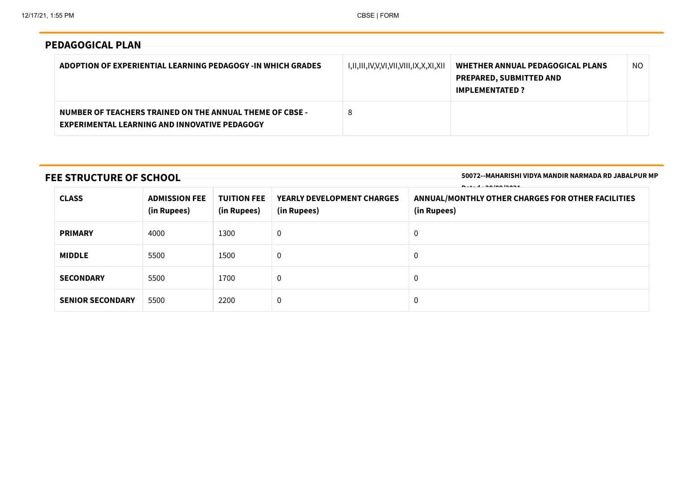## PEDAGOGICAL PLAN

| ADOPTION OF EXPERIENTIAL LEARNING PEDAGOGY -IN WHICH GRADES                                                      | I,II,III,IV,V,VI,VII,VIII,IX,X,XI,XII | WHETHER ANNUAL PEDAGOGICAL PLANS<br><b>PREPARED, SUBMITTED AND</b><br><b>IMPLEMENTATED?</b> | NO. |
|------------------------------------------------------------------------------------------------------------------|---------------------------------------|---------------------------------------------------------------------------------------------|-----|
| NUMBER OF TEACHERS TRAINED ON THE ANNUAL THEME OF CBSE -<br><b>EXPERIMENTAL LEARNING AND INNOVATIVE PEDAGOGY</b> | 8                                     |                                                                                             |     |

# FEE STRUCTURE OF SCHOOL

50072--MAHARISHI VIDYA MANDIR NARMADA RD JABALPUR MP

| <b>CLASS</b>            | <b>ADMISSION FEE</b><br>(in Rupees) | <b>TUITION FEE</b><br>(in Rupees) | YEARLY DEVELOPMENT CHARGES<br>(in Rupees) | $-1$ $-1$ $-1$ $-1$<br>ANNUAL/MONTHLY OTHER CHARGES FOR OTHER FACILITIES<br>(in Rupees) |
|-------------------------|-------------------------------------|-----------------------------------|-------------------------------------------|-----------------------------------------------------------------------------------------|
| <b>PRIMARY</b>          | 4000                                | 1300                              | $\mathbf 0$                               | 0                                                                                       |
| <b>MIDDLE</b>           | 5500                                | 1500                              | $\overline{0}$                            | 0                                                                                       |
| <b>SECONDARY</b>        | 5500                                | 1700                              | $\overline{0}$                            | 0                                                                                       |
| <b>SENIOR SECONDARY</b> | 5500                                | 2200                              | $\boldsymbol{0}$                          | $\mathbf 0$                                                                             |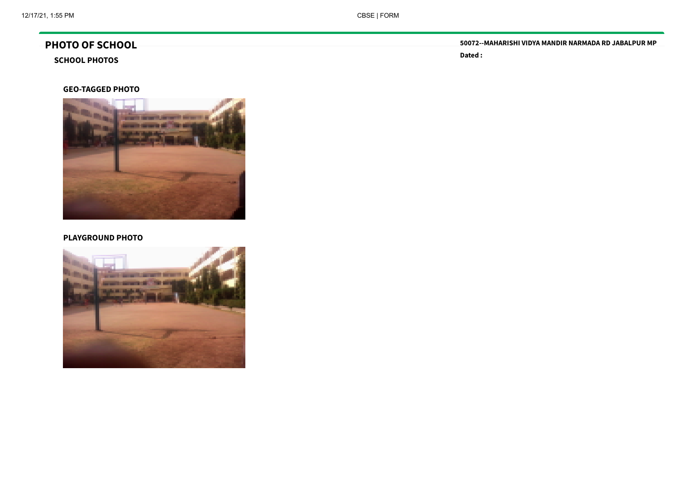# PHOTO OF SCHOOL

## SCHOOL PHOTOS

#### GEO-TAGGED PHOTO



#### PLAYGROUND PHOTO



50072--MAHARISHI VIDYA MANDIR NARMADA RD JABALPUR MP

Dated :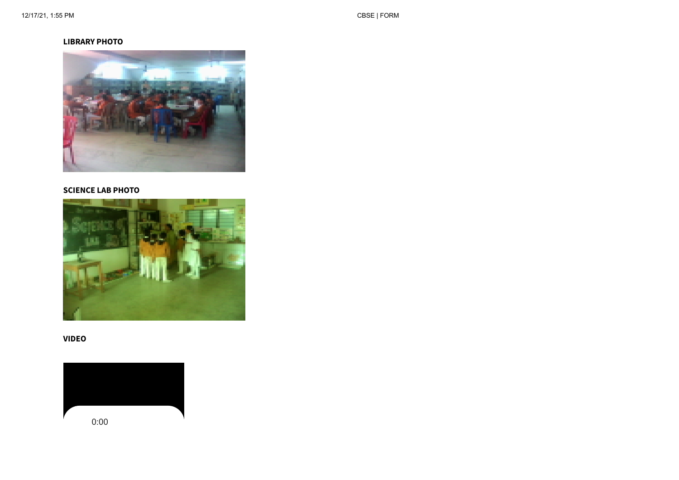#### LIBRARY PHOTO



#### SCIENCE LAB PHOTO



### VIDEO

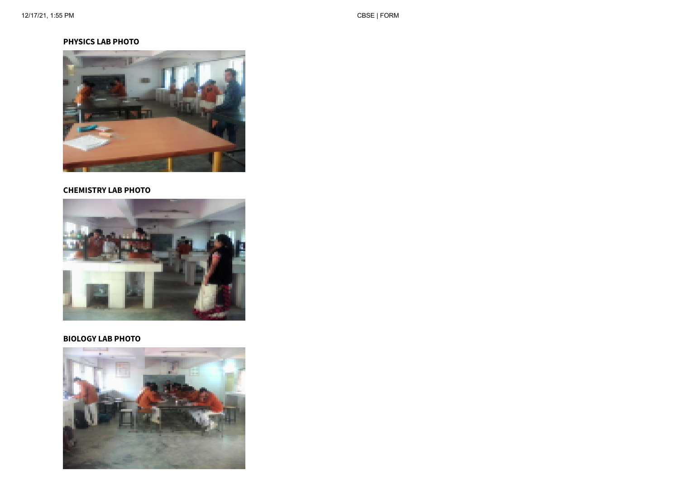#### PHYSICS LAB PHOTO



#### CHEMISTRY LAB PHOTO



#### BIOLOGY LAB PHOTO

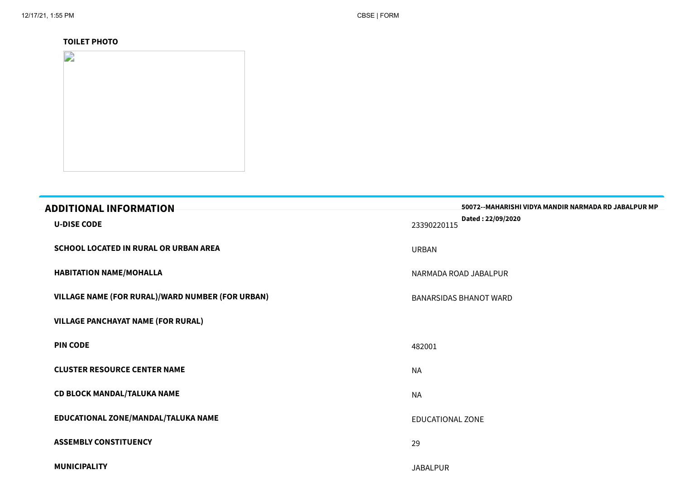### TOILET PHOTO

| $\mathbf{D}$ |  |  |
|--------------|--|--|
|              |  |  |
|              |  |  |
|              |  |  |
|              |  |  |

| <b>ADDITIONAL INFORMATION</b>                    | 50072--MAHARISHI VIDYA MANDIR NARMADA RD JABALPUR MP<br>Dated: 22/09/2020 |
|--------------------------------------------------|---------------------------------------------------------------------------|
| <b>U-DISE CODE</b>                               | 23390220115                                                               |
| <b>SCHOOL LOCATED IN RURAL OR URBAN AREA</b>     | <b>URBAN</b>                                                              |
| <b>HABITATION NAME/MOHALLA</b>                   | NARMADA ROAD JABALPUR                                                     |
| VILLAGE NAME (FOR RURAL)/WARD NUMBER (FOR URBAN) | <b>BANARSIDAS BHANOT WARD</b>                                             |
| <b>VILLAGE PANCHAYAT NAME (FOR RURAL)</b>        |                                                                           |
| <b>PIN CODE</b>                                  | 482001                                                                    |
| <b>CLUSTER RESOURCE CENTER NAME</b>              | <b>NA</b>                                                                 |
| <b>CD BLOCK MANDAL/TALUKA NAME</b>               | <b>NA</b>                                                                 |
| EDUCATIONAL ZONE/MANDAL/TALUKA NAME              | <b>EDUCATIONAL ZONE</b>                                                   |
| <b>ASSEMBLY CONSTITUENCY</b>                     | 29                                                                        |
| <b>MUNICIPALITY</b>                              | <b>JABALPUR</b>                                                           |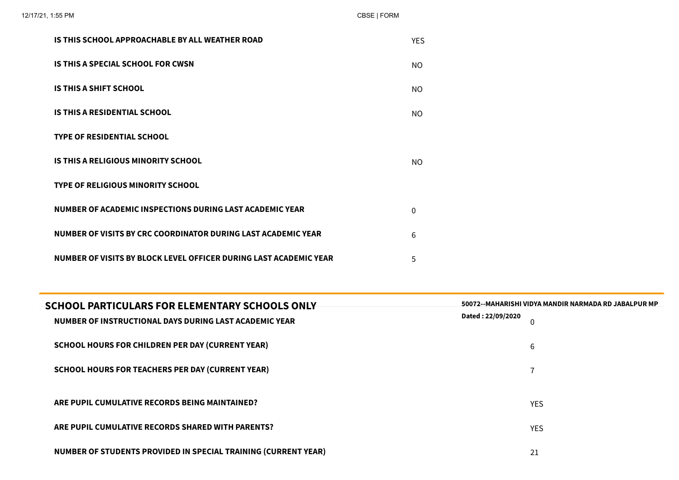| IS THIS SCHOOL APPROACHABLE BY ALL WEATHER ROAD                   | <b>YES</b>   |
|-------------------------------------------------------------------|--------------|
| IS THIS A SPECIAL SCHOOL FOR CWSN                                 | NO.          |
| <b>IS THIS A SHIFT SCHOOL</b>                                     | NO.          |
| <b>IS THIS A RESIDENTIAL SCHOOL</b>                               | NO.          |
| <b>TYPE OF RESIDENTIAL SCHOOL</b>                                 |              |
| IS THIS A RELIGIOUS MINORITY SCHOOL                               | NO.          |
| <b>TYPE OF RELIGIOUS MINORITY SCHOOL</b>                          |              |
| NUMBER OF ACADEMIC INSPECTIONS DURING LAST ACADEMIC YEAR          | $\mathbf{0}$ |
| NUMBER OF VISITS BY CRC COORDINATOR DURING LAST ACADEMIC YEAR     | 6            |
| NUMBER OF VISITS BY BLOCK LEVEL OFFICER DURING LAST ACADEMIC YEAR | 5            |

| <b>SCHOOL PARTICULARS FOR ELEMENTARY SCHOOLS ONLY</b>                 | 50072--MAHARISHI VIDYA MANDIR NARMADA RD JABALPUR MP<br>Dated: 22/09/2020 |
|-----------------------------------------------------------------------|---------------------------------------------------------------------------|
| NUMBER OF INSTRUCTIONAL DAYS DURING LAST ACADEMIC YEAR                |                                                                           |
| <b>SCHOOL HOURS FOR CHILDREN PER DAY (CURRENT YEAR)</b>               | 6                                                                         |
| <b>SCHOOL HOURS FOR TEACHERS PER DAY (CURRENT YEAR)</b>               | ⇁                                                                         |
|                                                                       |                                                                           |
| ARE PUPIL CUMULATIVE RECORDS BEING MAINTAINED?                        | <b>YES</b>                                                                |
| ARE PUPIL CUMULATIVE RECORDS SHARED WITH PARENTS?                     | <b>YES</b>                                                                |
| <b>NUMBER OF STUDENTS PROVIDED IN SPECIAL TRAINING (CURRENT YEAR)</b> | 21                                                                        |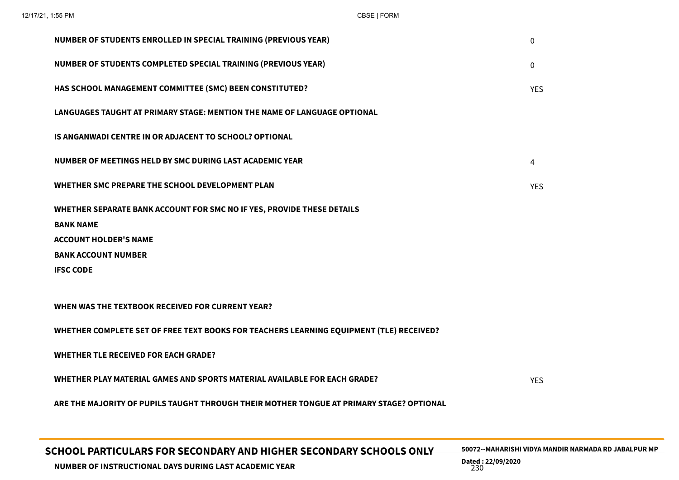| NUMBER OF STUDENTS ENROLLED IN SPECIAL TRAINING (PREVIOUS YEAR)                                                                                                              | 0          |
|------------------------------------------------------------------------------------------------------------------------------------------------------------------------------|------------|
| NUMBER OF STUDENTS COMPLETED SPECIAL TRAINING (PREVIOUS YEAR)                                                                                                                | 0          |
| HAS SCHOOL MANAGEMENT COMMITTEE (SMC) BEEN CONSTITUTED?                                                                                                                      | <b>YES</b> |
| LANGUAGES TAUGHT AT PRIMARY STAGE: MENTION THE NAME OF LANGUAGE OPTIONAL                                                                                                     |            |
| <b>IS ANGANWADI CENTRE IN OR ADJACENT TO SCHOOL? OPTIONAL</b>                                                                                                                |            |
| NUMBER OF MEETINGS HELD BY SMC DURING LAST ACADEMIC YEAR                                                                                                                     | 4          |
| WHETHER SMC PREPARE THE SCHOOL DEVELOPMENT PLAN                                                                                                                              | <b>YES</b> |
| WHETHER SEPARATE BANK ACCOUNT FOR SMC NO IF YES, PROVIDE THESE DETAILS<br><b>BANK NAME</b><br><b>ACCOUNT HOLDER'S NAME</b><br><b>BANK ACCOUNT NUMBER</b><br><b>IFSC CODE</b> |            |
| WHEN WAS THE TEXTBOOK RECEIVED FOR CURRENT YEAR?                                                                                                                             |            |
| WHETHER COMPLETE SET OF FREE TEXT BOOKS FOR TEACHERS LEARNING EQUIPMENT (TLE) RECEIVED?                                                                                      |            |
| <b>WHETHER TLE RECEIVED FOR EACH GRADE?</b>                                                                                                                                  |            |
| WHETHER PLAY MATERIAL GAMES AND SPORTS MATERIAL AVAILABLE FOR EACH GRADE?                                                                                                    | <b>YES</b> |
| ARE THE MAJORITY OF PUPILS TAUGHT THROUGH THEIR MOTHER TONGUE AT PRIMARY STAGE? OPTIONAL                                                                                     |            |
|                                                                                                                                                                              |            |

SCHOOL PARTICULARS FOR SECONDARY AND HIGHER SECONDARY SCHOOLS ONLY Dated : 22/09/2020 Dated : 22/09/2020<br>230 and 230

50072--MAHARISHI VIDYA MANDIR NARMADA RD JABALPUR MP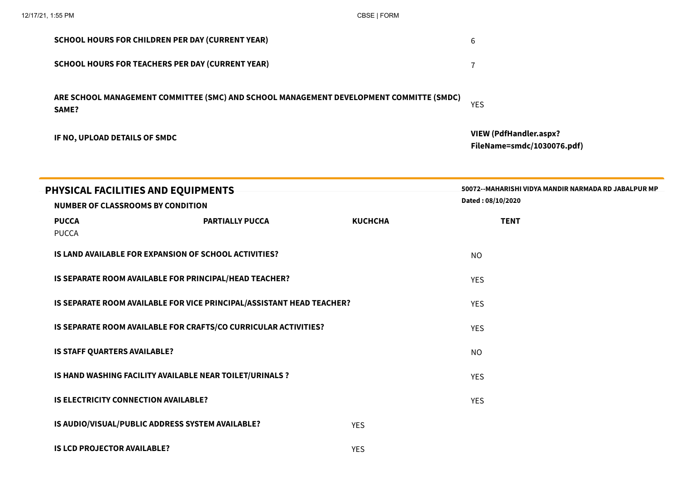|                                                                                | <b>SCHOOL HOURS FOR CHILDREN PER DAY (CURRENT YEAR)</b>                                 | 6              |                                                                             |
|--------------------------------------------------------------------------------|-----------------------------------------------------------------------------------------|----------------|-----------------------------------------------------------------------------|
|                                                                                | <b>SCHOOL HOURS FOR TEACHERS PER DAY (CURRENT YEAR)</b>                                 | $\overline{1}$ |                                                                             |
| SAME?                                                                          | ARE SCHOOL MANAGEMENT COMMITTEE (SMC) AND SCHOOL MANAGEMENT DEVELOPMENT COMMITTE (SMDC) | <b>YES</b>     |                                                                             |
| IF NO, UPLOAD DETAILS OF SMDC                                                  |                                                                                         |                | <b>VIEW (PdfHandler.aspx?</b><br>FileName=smdc/1030076.pdf)                 |
| PHYSICAL FACILITIES AND EQUIPMENTS<br><b>NUMBER OF CLASSROOMS BY CONDITION</b> |                                                                                         |                | 50072 -- MAHARISHI VIDYA MANDIR NARMADA RD JABALPUR MP<br>Dated: 08/10/2020 |
| <b>PUCCA</b><br><b>PUCCA</b>                                                   | <b>PARTIALLY PUCCA</b>                                                                  | <b>KUCHCHA</b> | <b>TENT</b>                                                                 |
|                                                                                | IS LAND AVAILABLE FOR EXPANSION OF SCHOOL ACTIVITIES?                                   |                | <b>NO</b>                                                                   |
|                                                                                | IS SEPARATE ROOM AVAILABLE FOR PRINCIPAL/HEAD TEACHER?                                  |                | <b>YES</b>                                                                  |
|                                                                                | IS SEPARATE ROOM AVAILABLE FOR VICE PRINCIPAL/ASSISTANT HEAD TEACHER?                   |                | <b>YES</b>                                                                  |
|                                                                                | IS SEPARATE ROOM AVAILABLE FOR CRAFTS/CO CURRICULAR ACTIVITIES?                         |                | <b>YES</b>                                                                  |
| IS STAFF QUARTERS AVAILABLE?                                                   |                                                                                         |                | <b>NO</b>                                                                   |
|                                                                                | IS HAND WASHING FACILITY AVAILABLE NEAR TOILET/URINALS ?                                |                | <b>YES</b>                                                                  |
| <b>IS ELECTRICITY CONNECTION AVAILABLE?</b>                                    |                                                                                         |                | <b>YES</b>                                                                  |
| IS AUDIO/VISUAL/PUBLIC ADDRESS SYSTEM AVAILABLE?                               |                                                                                         | <b>YES</b>     |                                                                             |
| <b>IS LCD PROJECTOR AVAILABLE?</b>                                             |                                                                                         | <b>YES</b>     |                                                                             |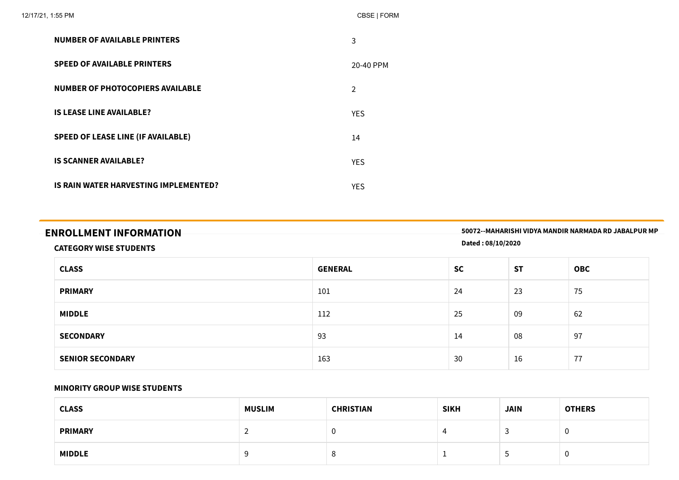| 12/17/21, 1:55 PM |                                           | CBSE   FORM    |
|-------------------|-------------------------------------------|----------------|
|                   | <b>NUMBER OF AVAILABLE PRINTERS</b>       | 3              |
|                   | <b>SPEED OF AVAILABLE PRINTERS</b>        | 20-40 PPM      |
|                   | <b>NUMBER OF PHOTOCOPIERS AVAILABLE</b>   | $\overline{2}$ |
|                   | <b>IS LEASE LINE AVAILABLE?</b>           | <b>YES</b>     |
|                   | <b>SPEED OF LEASE LINE (IF AVAILABLE)</b> | 14             |
|                   | <b>IS SCANNER AVAILABLE?</b>              | <b>YES</b>     |
|                   | IS RAIN WATER HARVESTING IMPLEMENTED?     | <b>YES</b>     |

| <b>ENROLLMENT INFORMATION</b> | 50072--MAHARISHI VIDYA MANDIR NARMADA RD JABALPUR MP |
|-------------------------------|------------------------------------------------------|
| CATECODY WILCH CTURENTS       | Dated: 08/10/2020                                    |

#### CATEGORY WISE STUDENTS

| <b>CLASS</b>            | <b>GENERAL</b> | <b>SC</b> | <b>ST</b> | <b>OBC</b> |
|-------------------------|----------------|-----------|-----------|------------|
| <b>PRIMARY</b>          | 101            | 24        | 23        | 75         |
| <b>MIDDLE</b>           | 112            | 25        | 09        | 62         |
| <b>SECONDARY</b>        | 93             | 14        | 08        | 97         |
| <b>SENIOR SECONDARY</b> | 163            | 30        | 16        | 77         |

#### MINORITY GROUP WISE STUDENTS

| <b>CLASS</b>   | <b>MUSLIM</b> | <b>CHRISTIAN</b> | <b>SIKH</b> | <b>JAIN</b> | <b>OTHERS</b> |
|----------------|---------------|------------------|-------------|-------------|---------------|
| <b>PRIMARY</b> |               | v                |             | ر.          | U             |
| <b>MIDDLE</b>  |               | o<br>Õ           |             | <b>پ</b>    | U             |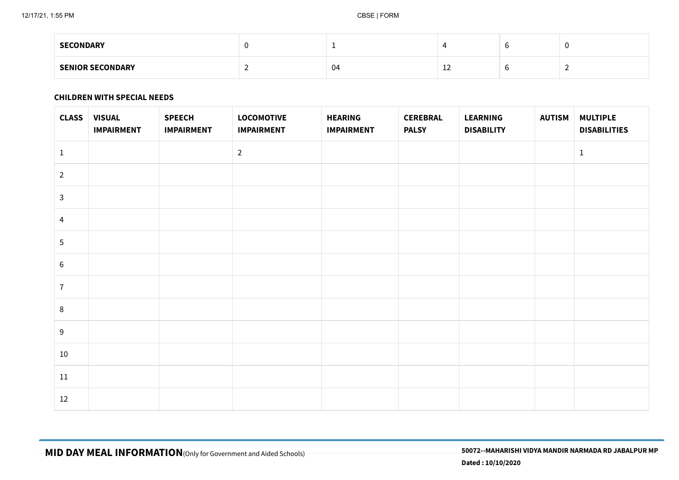| <b>SECONDARY</b>        |    |    |  |
|-------------------------|----|----|--|
| <b>SENIOR SECONDARY</b> | 04 | -- |  |

#### CHILDREN WITH SPECIAL NEEDS

| <b>CLASS</b>   | <b>VISUAL</b><br><b>IMPAIRMENT</b> | <b>SPEECH</b><br><b>IMPAIRMENT</b> | <b>LOCOMOTIVE</b><br><b>IMPAIRMENT</b> | <b>HEARING</b><br><b>IMPAIRMENT</b> | <b>CEREBRAL</b><br><b>PALSY</b> | <b>LEARNING</b><br><b>DISABILITY</b> | <b>AUTISM</b> | <b>MULTIPLE</b><br><b>DISABILITIES</b> |
|----------------|------------------------------------|------------------------------------|----------------------------------------|-------------------------------------|---------------------------------|--------------------------------------|---------------|----------------------------------------|
| $\mathbf{1}$   |                                    |                                    | $\overline{2}$                         |                                     |                                 |                                      |               | $\mathbf{1}$                           |
| $\overline{2}$ |                                    |                                    |                                        |                                     |                                 |                                      |               |                                        |
| $\mathbf{3}$   |                                    |                                    |                                        |                                     |                                 |                                      |               |                                        |
| $\overline{4}$ |                                    |                                    |                                        |                                     |                                 |                                      |               |                                        |
| $\sqrt{5}$     |                                    |                                    |                                        |                                     |                                 |                                      |               |                                        |
| $\,6\,$        |                                    |                                    |                                        |                                     |                                 |                                      |               |                                        |
| $\overline{7}$ |                                    |                                    |                                        |                                     |                                 |                                      |               |                                        |
| $\,8\,$        |                                    |                                    |                                        |                                     |                                 |                                      |               |                                        |
| 9              |                                    |                                    |                                        |                                     |                                 |                                      |               |                                        |
| $10\,$         |                                    |                                    |                                        |                                     |                                 |                                      |               |                                        |
| $11\,$         |                                    |                                    |                                        |                                     |                                 |                                      |               |                                        |
| 12             |                                    |                                    |                                        |                                     |                                 |                                      |               |                                        |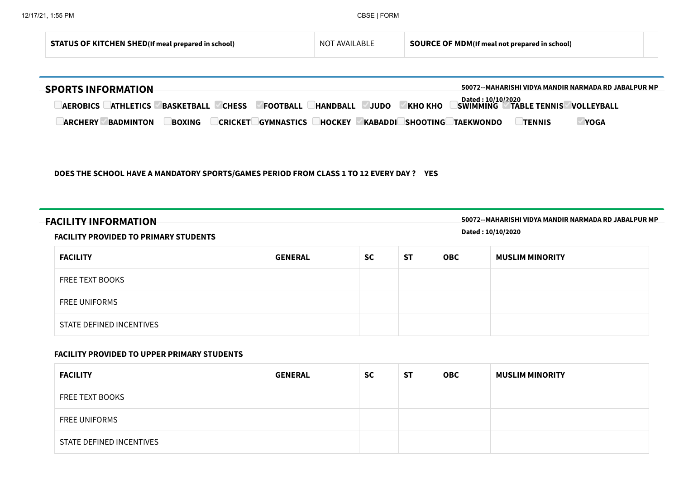| <b>SHED</b> /If me:<br>STA<br>eal prepared in school). | ABI<br>ΔΛΙΔΙΙ<br>NO. | 1DM/If<br>n 1<br>prepared in school) |  |  |
|--------------------------------------------------------|----------------------|--------------------------------------|--|--|
|--------------------------------------------------------|----------------------|--------------------------------------|--|--|

| <b>SPORTS INFORMATION</b>                                                                                                                 | 50072--MAHARISHI VIDYA MANDIR NARMADA RD JABALPUR MP                              |
|-------------------------------------------------------------------------------------------------------------------------------------------|-----------------------------------------------------------------------------------|
| <b>AEROBICS</b><br><b>BASKETBALL</b><br><b>CHESS</b><br><b>FOOTBALL</b><br>JUDO<br><b>KHO KHO</b><br><b>ATHLETICS</b><br><b>HANDBALL</b>  | Dated : 10/10/2020<br><b>SWIMMING</b><br><b>TABLE TENNIS</b><br><b>VOLLEYBALL</b> |
| KABADDI<br><b>GYMNASTICS</b><br><b>SHOOTING</b><br><b>BADMINTON</b><br><b>CRICKET</b><br><b>ARCHERY</b><br><b>BOXING</b><br><b>HOCKEY</b> | <b>YOGA</b><br><b>TAEKWONDO</b><br><b>TENNIS</b>                                  |

#### DOES THE SCHOOL HAVE A MANDATORY SPORTS/GAMES PERIOD FROM CLASS 1 TO 12 EVERY DAY ? YES

FACILITY INFORMATION 50072--MAHARISHI VIDYA MANDIR NARMADA RD JABALPUR MP

#### FACILITY PROVIDED TO PRIMARY STUDENTS

Dated : 10/10/2020

| <b>FACILITY</b>          | <b>GENERAL</b> | <b>SC</b> | <b>ST</b> | <b>OBC</b> | <b>MUSLIM MINORITY</b> |
|--------------------------|----------------|-----------|-----------|------------|------------------------|
| <b>FREE TEXT BOOKS</b>   |                |           |           |            |                        |
| <b>FREE UNIFORMS</b>     |                |           |           |            |                        |
| STATE DEFINED INCENTIVES |                |           |           |            |                        |

#### FACILITY PROVIDED TO UPPER PRIMARY STUDENTS

| <b>FACILITY</b>          | <b>GENERAL</b> | <b>SC</b> | <b>ST</b> | <b>OBC</b> | <b>MUSLIM MINORITY</b> |
|--------------------------|----------------|-----------|-----------|------------|------------------------|
| <b>FREE TEXT BOOKS</b>   |                |           |           |            |                        |
| <b>FREE UNIFORMS</b>     |                |           |           |            |                        |
| STATE DEFINED INCENTIVES |                |           |           |            |                        |